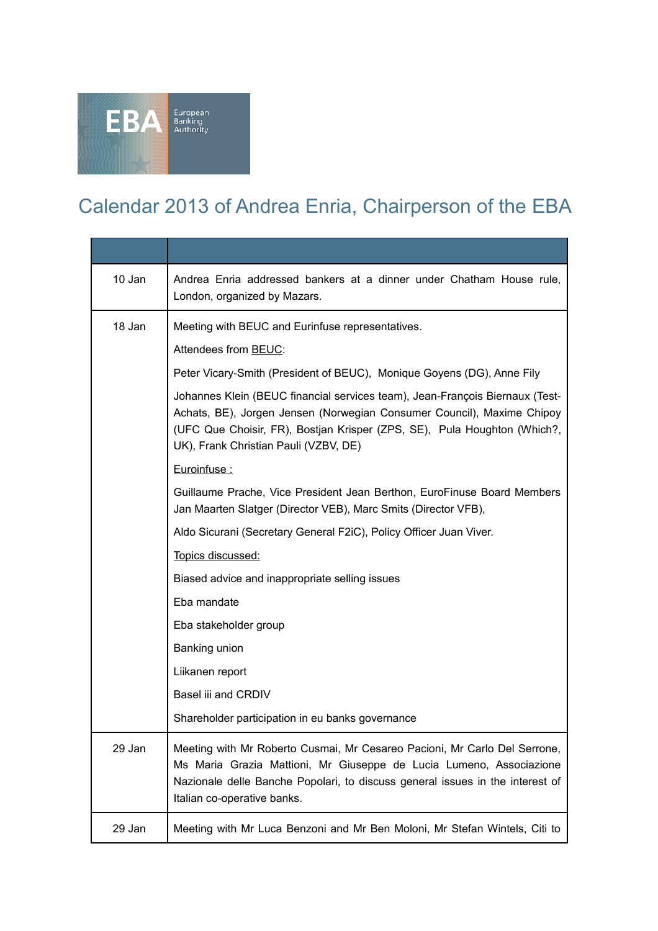

## Calendar 2013 of Andrea Enria, Chairperson of the EBA

| 10 Jan | Andrea Enria addressed bankers at a dinner under Chatham House rule,<br>London, organized by Mazars.                                                                                                                                                                        |
|--------|-----------------------------------------------------------------------------------------------------------------------------------------------------------------------------------------------------------------------------------------------------------------------------|
| 18 Jan | Meeting with BEUC and Eurinfuse representatives.                                                                                                                                                                                                                            |
|        | Attendees from BEUC:                                                                                                                                                                                                                                                        |
|        | Peter Vicary-Smith (President of BEUC), Monique Goyens (DG), Anne Fily                                                                                                                                                                                                      |
|        | Johannes Klein (BEUC financial services team), Jean-François Biernaux (Test-<br>Achats, BE), Jorgen Jensen (Norwegian Consumer Council), Maxime Chipoy<br>(UFC Que Choisir, FR), Bostjan Krisper (ZPS, SE), Pula Houghton (Which?,<br>UK), Frank Christian Pauli (VZBV, DE) |
|        | Euroinfuse:                                                                                                                                                                                                                                                                 |
|        | Guillaume Prache, Vice President Jean Berthon, EuroFinuse Board Members<br>Jan Maarten Slatger (Director VEB), Marc Smits (Director VFB),                                                                                                                                   |
|        | Aldo Sicurani (Secretary General F2iC), Policy Officer Juan Viver.                                                                                                                                                                                                          |
|        | Topics discussed:                                                                                                                                                                                                                                                           |
|        | Biased advice and inappropriate selling issues                                                                                                                                                                                                                              |
|        | Eba mandate                                                                                                                                                                                                                                                                 |
|        | Eba stakeholder group                                                                                                                                                                                                                                                       |
|        | Banking union                                                                                                                                                                                                                                                               |
|        | Liikanen report                                                                                                                                                                                                                                                             |
|        | Basel iii and CRDIV                                                                                                                                                                                                                                                         |
|        | Shareholder participation in eu banks governance                                                                                                                                                                                                                            |
| 29 Jan | Meeting with Mr Roberto Cusmai, Mr Cesareo Pacioni, Mr Carlo Del Serrone,<br>Ms Maria Grazia Mattioni, Mr Giuseppe de Lucia Lumeno, Associazione<br>Nazionale delle Banche Popolari, to discuss general issues in the interest of<br>Italian co-operative banks.            |
| 29 Jan | Meeting with Mr Luca Benzoni and Mr Ben Moloni, Mr Stefan Wintels, Citi to                                                                                                                                                                                                  |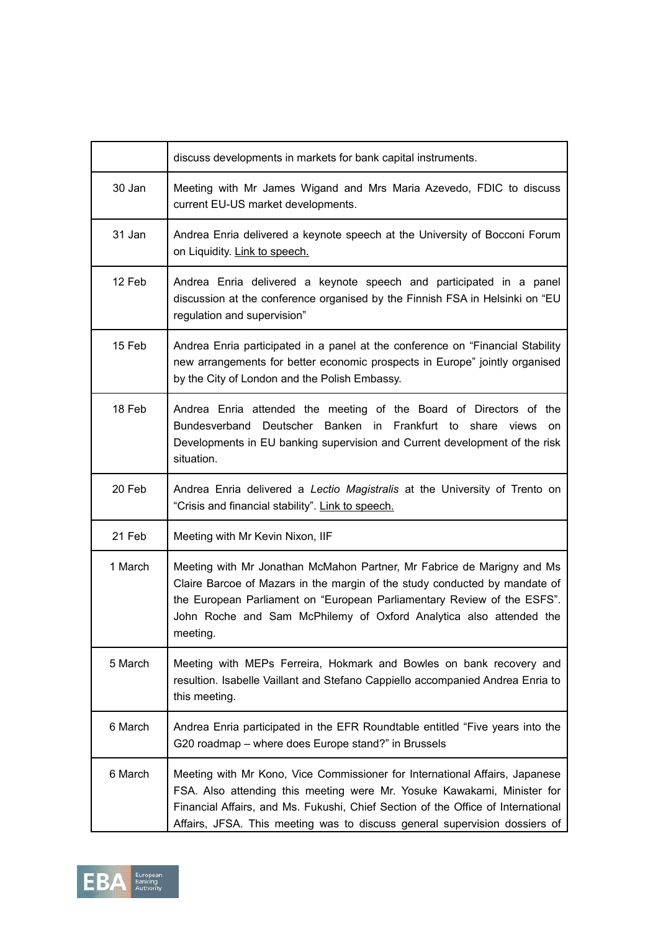|         | discuss developments in markets for bank capital instruments.                                                                                                                                                                                                                                                            |
|---------|--------------------------------------------------------------------------------------------------------------------------------------------------------------------------------------------------------------------------------------------------------------------------------------------------------------------------|
| 30 Jan  | Meeting with Mr James Wigand and Mrs Maria Azevedo, FDIC to discuss<br>current EU-US market developments.                                                                                                                                                                                                                |
| 31 Jan  | Andrea Enria delivered a keynote speech at the University of Bocconi Forum<br>on Liquidity. Link to speech.                                                                                                                                                                                                              |
| 12 Feb  | Andrea Enria delivered a keynote speech and participated in a panel<br>discussion at the conference organised by the Finnish FSA in Helsinki on "EU<br>regulation and supervision"                                                                                                                                       |
| 15 Feb  | Andrea Enria participated in a panel at the conference on "Financial Stability<br>new arrangements for better economic prospects in Europe" jointly organised<br>by the City of London and the Polish Embassy.                                                                                                           |
| 18 Feb  | Andrea Enria attended the meeting of the Board of Directors of the<br>Bundesverband Deutscher Banken in Frankfurt to share views<br>on<br>Developments in EU banking supervision and Current development of the risk<br>situation.                                                                                       |
| 20 Feb  | Andrea Enria delivered a Lectio Magistralis at the University of Trento on<br>"Crisis and financial stability". Link to speech.                                                                                                                                                                                          |
| 21 Feb  | Meeting with Mr Kevin Nixon, IIF                                                                                                                                                                                                                                                                                         |
| 1 March | Meeting with Mr Jonathan McMahon Partner, Mr Fabrice de Marigny and Ms<br>Claire Barcoe of Mazars in the margin of the study conducted by mandate of<br>the European Parliament on "European Parliamentary Review of the ESFS".<br>John Roche and Sam McPhilemy of Oxford Analytica also attended the<br>meeting.        |
| 5 March | Meeting with MEPs Ferreira, Hokmark and Bowles on bank recovery and<br>resultion. Isabelle Vaillant and Stefano Cappiello accompanied Andrea Enria to<br>this meeting.                                                                                                                                                   |
| 6 March | Andrea Enria participated in the EFR Roundtable entitled "Five years into the<br>G20 roadmap - where does Europe stand?" in Brussels                                                                                                                                                                                     |
| 6 March | Meeting with Mr Kono, Vice Commissioner for International Affairs, Japanese<br>FSA. Also attending this meeting were Mr. Yosuke Kawakami, Minister for<br>Financial Affairs, and Ms. Fukushi, Chief Section of the Office of International<br>Affairs, JFSA. This meeting was to discuss general supervision dossiers of |

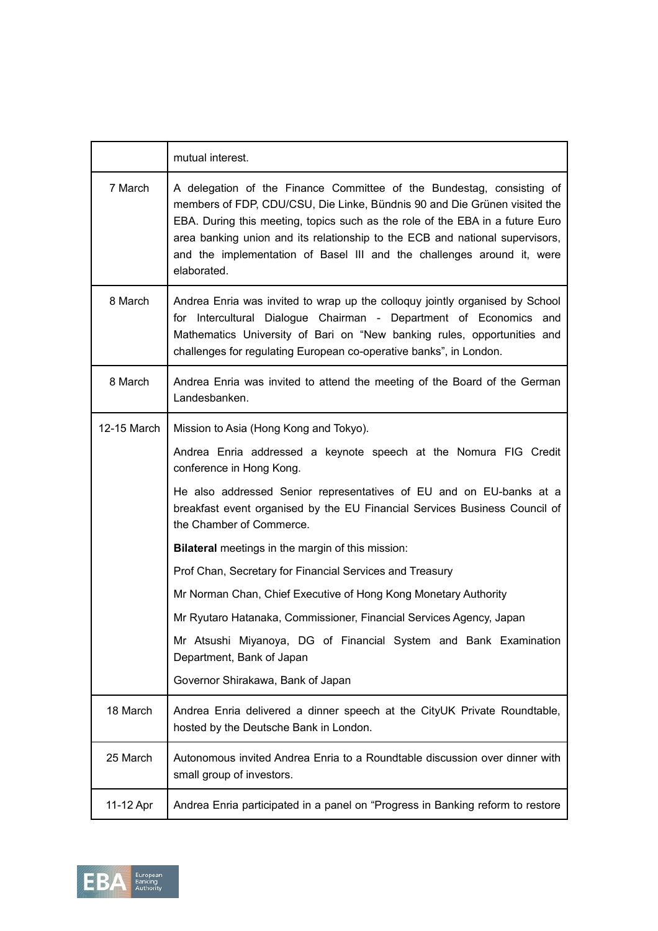|             | mutual interest.                                                                                                                                                                                                                                                                                                                                                                                             |
|-------------|--------------------------------------------------------------------------------------------------------------------------------------------------------------------------------------------------------------------------------------------------------------------------------------------------------------------------------------------------------------------------------------------------------------|
| 7 March     | A delegation of the Finance Committee of the Bundestag, consisting of<br>members of FDP, CDU/CSU, Die Linke, Bündnis 90 and Die Grünen visited the<br>EBA. During this meeting, topics such as the role of the EBA in a future Euro<br>area banking union and its relationship to the ECB and national supervisors,<br>and the implementation of Basel III and the challenges around it, were<br>elaborated. |
| 8 March     | Andrea Enria was invited to wrap up the colloquy jointly organised by School<br>for Intercultural Dialogue Chairman - Department of Economics and<br>Mathematics University of Bari on "New banking rules, opportunities and<br>challenges for regulating European co-operative banks", in London.                                                                                                           |
| 8 March     | Andrea Enria was invited to attend the meeting of the Board of the German<br>Landesbanken.                                                                                                                                                                                                                                                                                                                   |
| 12-15 March | Mission to Asia (Hong Kong and Tokyo).                                                                                                                                                                                                                                                                                                                                                                       |
|             | Andrea Enria addressed a keynote speech at the Nomura FIG Credit<br>conference in Hong Kong.                                                                                                                                                                                                                                                                                                                 |
|             | He also addressed Senior representatives of EU and on EU-banks at a<br>breakfast event organised by the EU Financial Services Business Council of<br>the Chamber of Commerce.                                                                                                                                                                                                                                |
|             | <b>Bilateral</b> meetings in the margin of this mission:                                                                                                                                                                                                                                                                                                                                                     |
|             | Prof Chan, Secretary for Financial Services and Treasury                                                                                                                                                                                                                                                                                                                                                     |
|             | Mr Norman Chan, Chief Executive of Hong Kong Monetary Authority                                                                                                                                                                                                                                                                                                                                              |
|             | Mr Ryutaro Hatanaka, Commissioner, Financial Services Agency, Japan                                                                                                                                                                                                                                                                                                                                          |
|             | Mr Atsushi Miyanoya, DG of Financial System and Bank Examination<br>Department, Bank of Japan                                                                                                                                                                                                                                                                                                                |
|             | Governor Shirakawa, Bank of Japan                                                                                                                                                                                                                                                                                                                                                                            |
| 18 March    | Andrea Enria delivered a dinner speech at the CityUK Private Roundtable,<br>hosted by the Deutsche Bank in London.                                                                                                                                                                                                                                                                                           |
| 25 March    | Autonomous invited Andrea Enria to a Roundtable discussion over dinner with<br>small group of investors.                                                                                                                                                                                                                                                                                                     |
| 11-12 Apr   | Andrea Enria participated in a panel on "Progress in Banking reform to restore                                                                                                                                                                                                                                                                                                                               |

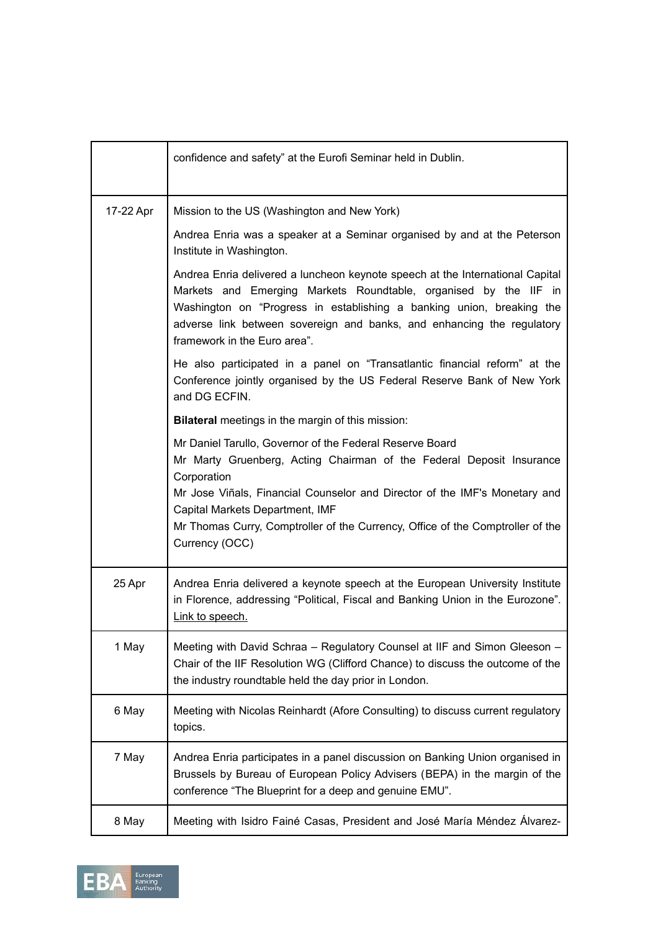|           | confidence and safety" at the Eurofi Seminar held in Dublin.                                                                                                                                                                                                                                                                                                         |
|-----------|----------------------------------------------------------------------------------------------------------------------------------------------------------------------------------------------------------------------------------------------------------------------------------------------------------------------------------------------------------------------|
| 17-22 Apr | Mission to the US (Washington and New York)                                                                                                                                                                                                                                                                                                                          |
|           | Andrea Enria was a speaker at a Seminar organised by and at the Peterson<br>Institute in Washington.                                                                                                                                                                                                                                                                 |
|           | Andrea Enria delivered a luncheon keynote speech at the International Capital<br>Markets and Emerging Markets Roundtable, organised by the IIF in<br>Washington on "Progress in establishing a banking union, breaking the<br>adverse link between sovereign and banks, and enhancing the regulatory<br>framework in the Euro area".                                 |
|           | He also participated in a panel on "Transatlantic financial reform" at the<br>Conference jointly organised by the US Federal Reserve Bank of New York<br>and DG ECFIN.                                                                                                                                                                                               |
|           | <b>Bilateral</b> meetings in the margin of this mission:                                                                                                                                                                                                                                                                                                             |
|           | Mr Daniel Tarullo, Governor of the Federal Reserve Board<br>Mr Marty Gruenberg, Acting Chairman of the Federal Deposit Insurance<br>Corporation<br>Mr Jose Viñals, Financial Counselor and Director of the IMF's Monetary and<br>Capital Markets Department, IMF<br>Mr Thomas Curry, Comptroller of the Currency, Office of the Comptroller of the<br>Currency (OCC) |
| 25 Apr    | Andrea Enria delivered a keynote speech at the European University Institute<br>in Florence, addressing "Political, Fiscal and Banking Union in the Eurozone".<br>Link to speech.                                                                                                                                                                                    |
| 1 May     | Meeting with David Schraa - Regulatory Counsel at IIF and Simon Gleeson -<br>Chair of the IIF Resolution WG (Clifford Chance) to discuss the outcome of the<br>the industry roundtable held the day prior in London.                                                                                                                                                 |
| 6 May     | Meeting with Nicolas Reinhardt (Afore Consulting) to discuss current regulatory<br>topics.                                                                                                                                                                                                                                                                           |
| 7 May     | Andrea Enria participates in a panel discussion on Banking Union organised in<br>Brussels by Bureau of European Policy Advisers (BEPA) in the margin of the<br>conference "The Blueprint for a deep and genuine EMU".                                                                                                                                                |
| 8 May     | Meeting with Isidro Fainé Casas, President and José María Méndez Álvarez-                                                                                                                                                                                                                                                                                            |

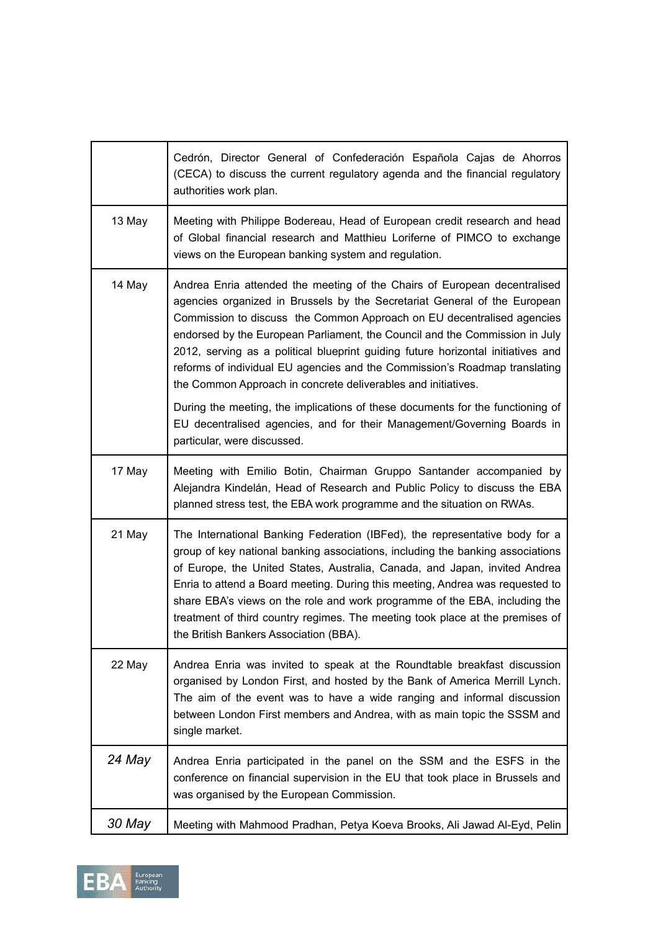|        | Cedrón, Director General of Confederación Española Cajas de Ahorros<br>(CECA) to discuss the current regulatory agenda and the financial regulatory<br>authorities work plan.                                                                                                                                                                                                                                                                                                                                                                      |
|--------|----------------------------------------------------------------------------------------------------------------------------------------------------------------------------------------------------------------------------------------------------------------------------------------------------------------------------------------------------------------------------------------------------------------------------------------------------------------------------------------------------------------------------------------------------|
| 13 May | Meeting with Philippe Bodereau, Head of European credit research and head<br>of Global financial research and Matthieu Loriferne of PIMCO to exchange<br>views on the European banking system and regulation.                                                                                                                                                                                                                                                                                                                                      |
| 14 May | Andrea Enria attended the meeting of the Chairs of European decentralised<br>agencies organized in Brussels by the Secretariat General of the European<br>Commission to discuss the Common Approach on EU decentralised agencies<br>endorsed by the European Parliament, the Council and the Commission in July<br>2012, serving as a political blueprint guiding future horizontal initiatives and<br>reforms of individual EU agencies and the Commission's Roadmap translating<br>the Common Approach in concrete deliverables and initiatives. |
|        | During the meeting, the implications of these documents for the functioning of<br>EU decentralised agencies, and for their Management/Governing Boards in<br>particular, were discussed.                                                                                                                                                                                                                                                                                                                                                           |
| 17 May | Meeting with Emilio Botin, Chairman Gruppo Santander accompanied by<br>Alejandra Kindelán, Head of Research and Public Policy to discuss the EBA<br>planned stress test, the EBA work programme and the situation on RWAs.                                                                                                                                                                                                                                                                                                                         |
| 21 May | The International Banking Federation (IBFed), the representative body for a<br>group of key national banking associations, including the banking associations<br>of Europe, the United States, Australia, Canada, and Japan, invited Andrea<br>Enria to attend a Board meeting. During this meeting, Andrea was requested to<br>share EBA's views on the role and work programme of the EBA, including the<br>treatment of third country regimes. The meeting took place at the premises of<br>the British Bankers Association (BBA).              |
| 22 May | Andrea Enria was invited to speak at the Roundtable breakfast discussion<br>organised by London First, and hosted by the Bank of America Merrill Lynch.<br>The aim of the event was to have a wide ranging and informal discussion<br>between London First members and Andrea, with as main topic the SSSM and<br>single market.                                                                                                                                                                                                                   |
| 24 May | Andrea Enria participated in the panel on the SSM and the ESFS in the<br>conference on financial supervision in the EU that took place in Brussels and<br>was organised by the European Commission.                                                                                                                                                                                                                                                                                                                                                |
| 30 May | Meeting with Mahmood Pradhan, Petya Koeva Brooks, Ali Jawad Al-Eyd, Pelin                                                                                                                                                                                                                                                                                                                                                                                                                                                                          |

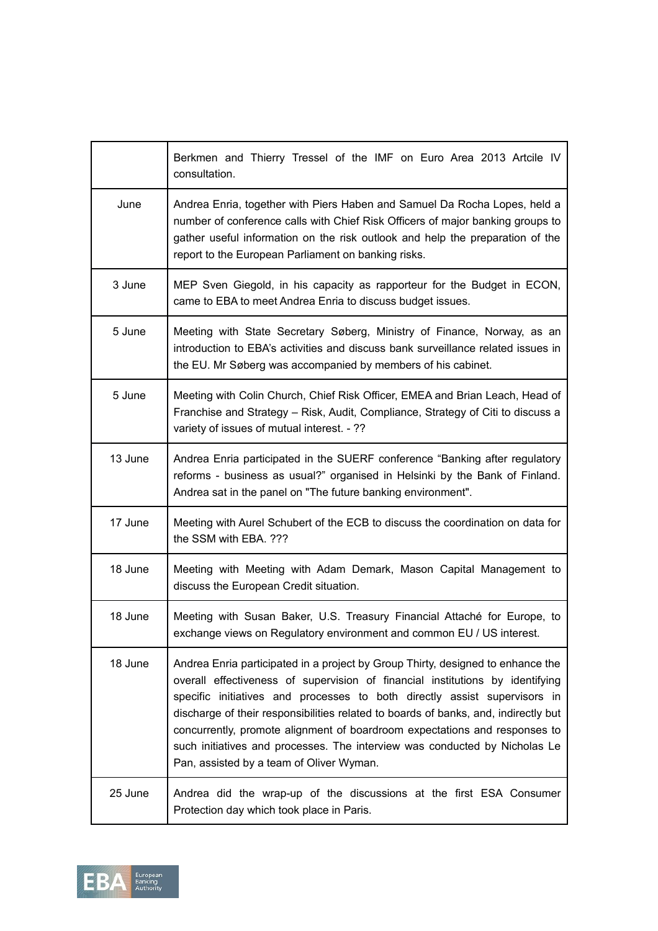|         | Berkmen and Thierry Tressel of the IMF on Euro Area 2013 Artcile IV<br>consultation.                                                                                                                                                                                                                                                                                                                                                                                                                                                         |
|---------|----------------------------------------------------------------------------------------------------------------------------------------------------------------------------------------------------------------------------------------------------------------------------------------------------------------------------------------------------------------------------------------------------------------------------------------------------------------------------------------------------------------------------------------------|
| June    | Andrea Enria, together with Piers Haben and Samuel Da Rocha Lopes, held a<br>number of conference calls with Chief Risk Officers of major banking groups to<br>gather useful information on the risk outlook and help the preparation of the<br>report to the European Parliament on banking risks.                                                                                                                                                                                                                                          |
| 3 June  | MEP Sven Giegold, in his capacity as rapporteur for the Budget in ECON,<br>came to EBA to meet Andrea Enria to discuss budget issues.                                                                                                                                                                                                                                                                                                                                                                                                        |
| 5 June  | Meeting with State Secretary Søberg, Ministry of Finance, Norway, as an<br>introduction to EBA's activities and discuss bank surveillance related issues in<br>the EU. Mr Søberg was accompanied by members of his cabinet.                                                                                                                                                                                                                                                                                                                  |
| 5 June  | Meeting with Colin Church, Chief Risk Officer, EMEA and Brian Leach, Head of<br>Franchise and Strategy - Risk, Audit, Compliance, Strategy of Citi to discuss a<br>variety of issues of mutual interest. - ??                                                                                                                                                                                                                                                                                                                                |
| 13 June | Andrea Enria participated in the SUERF conference "Banking after regulatory<br>reforms - business as usual?" organised in Helsinki by the Bank of Finland.<br>Andrea sat in the panel on "The future banking environment".                                                                                                                                                                                                                                                                                                                   |
| 17 June | Meeting with Aurel Schubert of the ECB to discuss the coordination on data for<br>the SSM with EBA. ???                                                                                                                                                                                                                                                                                                                                                                                                                                      |
| 18 June | Meeting with Meeting with Adam Demark, Mason Capital Management to<br>discuss the European Credit situation.                                                                                                                                                                                                                                                                                                                                                                                                                                 |
| 18 June | Meeting with Susan Baker, U.S. Treasury Financial Attaché for Europe, to<br>exchange views on Regulatory environment and common EU / US interest.                                                                                                                                                                                                                                                                                                                                                                                            |
| 18 June | Andrea Enria participated in a project by Group Thirty, designed to enhance the<br>overall effectiveness of supervision of financial institutions by identifying<br>specific initiatives and processes to both directly assist supervisors in<br>discharge of their responsibilities related to boards of banks, and, indirectly but<br>concurrently, promote alignment of boardroom expectations and responses to<br>such initiatives and processes. The interview was conducted by Nicholas Le<br>Pan, assisted by a team of Oliver Wyman. |
| 25 June | Andrea did the wrap-up of the discussions at the first ESA Consumer<br>Protection day which took place in Paris.                                                                                                                                                                                                                                                                                                                                                                                                                             |

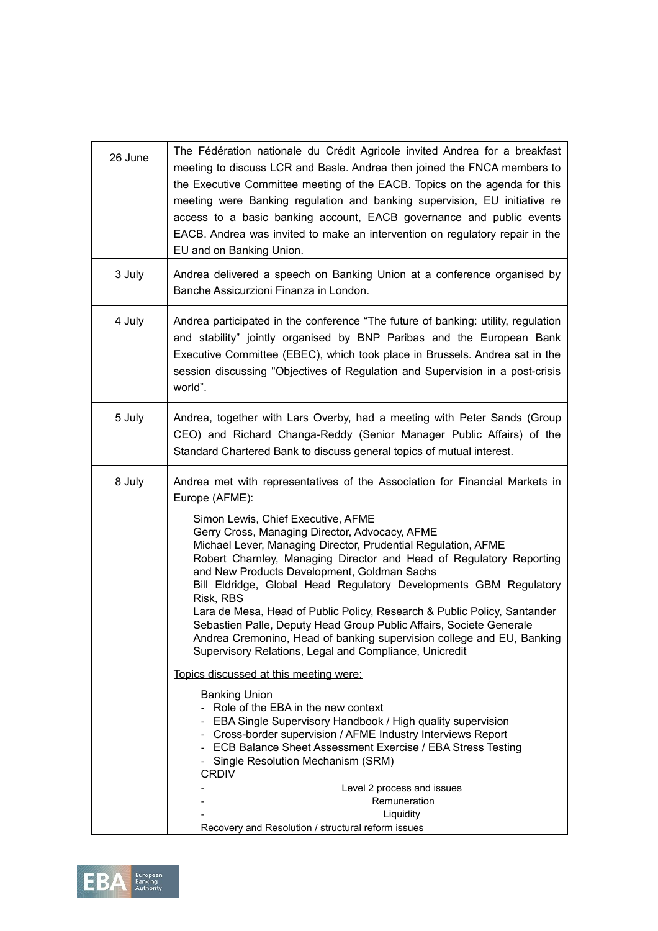| The Fédération nationale du Crédit Agricole invited Andrea for a breakfast<br>meeting to discuss LCR and Basle. Andrea then joined the FNCA members to<br>the Executive Committee meeting of the EACB. Topics on the agenda for this<br>meeting were Banking regulation and banking supervision, EU initiative re<br>access to a basic banking account, EACB governance and public events<br>EACB. Andrea was invited to make an intervention on regulatory repair in the<br>EU and on Banking Union.                                                                                                                                                                                                                                                                                                                                                                                                                                                                                                                                                                                                                                                                          |
|--------------------------------------------------------------------------------------------------------------------------------------------------------------------------------------------------------------------------------------------------------------------------------------------------------------------------------------------------------------------------------------------------------------------------------------------------------------------------------------------------------------------------------------------------------------------------------------------------------------------------------------------------------------------------------------------------------------------------------------------------------------------------------------------------------------------------------------------------------------------------------------------------------------------------------------------------------------------------------------------------------------------------------------------------------------------------------------------------------------------------------------------------------------------------------|
| Andrea delivered a speech on Banking Union at a conference organised by<br>Banche Assicurzioni Finanza in London.                                                                                                                                                                                                                                                                                                                                                                                                                                                                                                                                                                                                                                                                                                                                                                                                                                                                                                                                                                                                                                                              |
| Andrea participated in the conference "The future of banking: utility, regulation<br>and stability" jointly organised by BNP Paribas and the European Bank<br>Executive Committee (EBEC), which took place in Brussels. Andrea sat in the<br>session discussing "Objectives of Regulation and Supervision in a post-crisis<br>world".                                                                                                                                                                                                                                                                                                                                                                                                                                                                                                                                                                                                                                                                                                                                                                                                                                          |
| Andrea, together with Lars Overby, had a meeting with Peter Sands (Group<br>CEO) and Richard Changa-Reddy (Senior Manager Public Affairs) of the<br>Standard Chartered Bank to discuss general topics of mutual interest.                                                                                                                                                                                                                                                                                                                                                                                                                                                                                                                                                                                                                                                                                                                                                                                                                                                                                                                                                      |
| Andrea met with representatives of the Association for Financial Markets in<br>Europe (AFME):<br>Simon Lewis, Chief Executive, AFME<br>Gerry Cross, Managing Director, Advocacy, AFME<br>Michael Lever, Managing Director, Prudential Regulation, AFME<br>Robert Charnley, Managing Director and Head of Regulatory Reporting<br>and New Products Development, Goldman Sachs<br>Bill Eldridge, Global Head Regulatory Developments GBM Regulatory<br>Risk, RBS<br>Lara de Mesa, Head of Public Policy, Research & Public Policy, Santander<br>Sebastien Palle, Deputy Head Group Public Affairs, Societe Generale<br>Andrea Cremonino, Head of banking supervision college and EU, Banking<br>Supervisory Relations, Legal and Compliance, Unicredit<br>Topics discussed at this meeting were:<br><b>Banking Union</b><br>Role of the EBA in the new context<br>- EBA Single Supervisory Handbook / High quality supervision<br>- Cross-border supervision / AFME Industry Interviews Report<br>- ECB Balance Sheet Assessment Exercise / EBA Stress Testing<br>- Single Resolution Mechanism (SRM)<br><b>CRDIV</b><br>Level 2 process and issues<br>Remuneration<br>Liquidity |
|                                                                                                                                                                                                                                                                                                                                                                                                                                                                                                                                                                                                                                                                                                                                                                                                                                                                                                                                                                                                                                                                                                                                                                                |